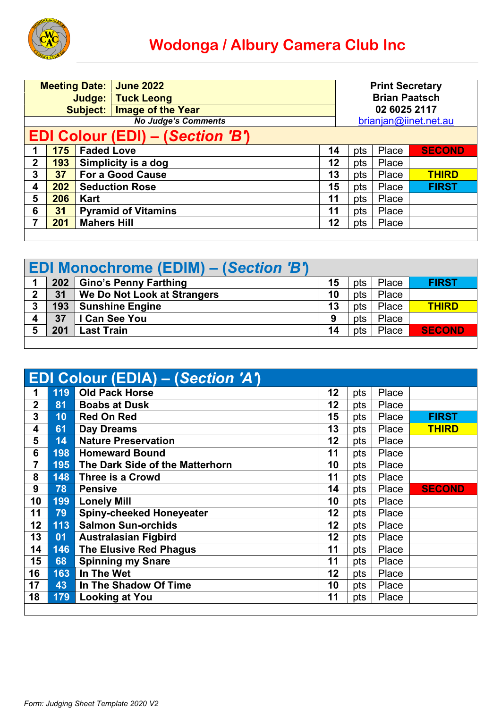

| <b>Meeting Date: June 2022</b>          |     |                    |                              | <b>Print Secretary</b> |                      |       |               |
|-----------------------------------------|-----|--------------------|------------------------------|------------------------|----------------------|-------|---------------|
|                                         |     |                    | Judge:   Tuck Leong          |                        | <b>Brian Paatsch</b> |       |               |
|                                         |     |                    | Subject:   Image of the Year |                        | 02 6025 2117         |       |               |
| <b>No Judge's Comments</b>              |     |                    |                              | brianjan@iinet.net.au  |                      |       |               |
| <b>EDI Colour (EDI) - (Section 'B')</b> |     |                    |                              |                        |                      |       |               |
| 1                                       | 175 | <b>Faded Love</b>  |                              | 14                     | pts                  | Place | <b>SECOND</b> |
| $\overline{2}$                          | 193 |                    | Simplicity is a dog          | 12                     | pts                  | Place |               |
| 3                                       | 37  |                    | <b>For a Good Cause</b>      | 13                     | pts                  | Place | <b>THIRD</b>  |
| 4                                       | 202 |                    | <b>Seduction Rose</b>        | 15                     | pts                  | Place | <b>FIRST</b>  |
| 5                                       | 206 | <b>Kart</b>        |                              | 11                     | pts                  | Place |               |
| 6                                       | 31  |                    | <b>Pyramid of Vitamins</b>   | 11                     | pts                  | Place |               |
| 7                                       | 201 | <b>Mahers Hill</b> |                              | 12                     | pts                  | Place |               |
|                                         |     |                    |                              |                        |                      |       |               |

## **EDI Monochrome (EDIM) – (***Section 'B'***)**

|   | 202 | <b>Gino's Penny Farthing</b> |    | pts | Place | <b>FIRST</b>  |
|---|-----|------------------------------|----|-----|-------|---------------|
| C | 31  | We Do Not Look at Strangers  | 10 | pts | Place |               |
| 3 | 193 | <b>Sunshine Engine</b>       | 13 | pts | Place | <b>THIRD</b>  |
|   | 37  | <b>Can See You</b>           |    | pts | Place |               |
|   | 201 | Last Train                   | 14 | pts | Place | <b>SECOND</b> |

| EDI Colour (EDIA) - (Section 'A') |     |                                 |    |     |       |               |  |
|-----------------------------------|-----|---------------------------------|----|-----|-------|---------------|--|
| 1                                 | 119 | <b>Old Pack Horse</b>           | 12 | pts | Place |               |  |
| $\overline{2}$                    | 81  | <b>Boabs at Dusk</b>            | 12 | pts | Place |               |  |
| 3                                 | 10  | <b>Red On Red</b>               | 15 | pts | Place | <b>FIRST</b>  |  |
| $\overline{\mathbf{4}}$           | 61  | <b>Day Dreams</b>               | 13 | pts | Place | <b>THIRD</b>  |  |
| 5                                 | 14  | <b>Nature Preservation</b>      | 12 | pts | Place |               |  |
| 6                                 | 198 | <b>Homeward Bound</b>           | 11 | pts | Place |               |  |
| $\overline{7}$                    | 195 | The Dark Side of the Matterhorn | 10 | pts | Place |               |  |
| 8                                 | 148 | <b>Three is a Crowd</b>         | 11 | pts | Place |               |  |
| 9                                 | 78  | <b>Pensive</b>                  | 14 | pts | Place | <b>SECOND</b> |  |
| 10                                | 199 | <b>Lonely Mill</b>              | 10 | pts | Place |               |  |
| 11                                | 79  | <b>Spiny-cheeked Honeyeater</b> | 12 | pts | Place |               |  |
| 12                                | 113 | <b>Salmon Sun-orchids</b>       | 12 | pts | Place |               |  |
| 13                                | 01  | <b>Australasian Figbird</b>     | 12 | pts | Place |               |  |
| 14                                | 146 | <b>The Elusive Red Phagus</b>   | 11 | pts | Place |               |  |
| 15                                | 68  | <b>Spinning my Snare</b>        | 11 | pts | Place |               |  |
| 16                                | 163 | In The Wet                      | 12 | pts | Place |               |  |
| 17                                | 43  | In The Shadow Of Time           | 10 | pts | Place |               |  |
| 18                                | 179 | <b>Looking at You</b>           | 11 | pts | Place |               |  |
|                                   |     |                                 |    |     |       |               |  |